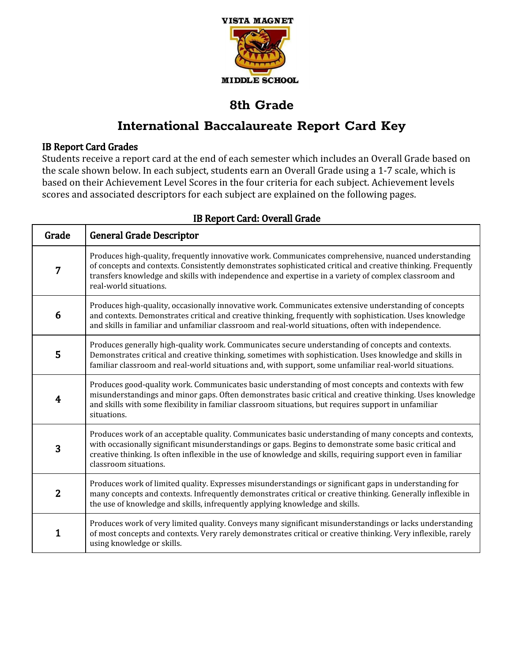

# **International Baccalaureate Report Card Key**

### IB Report Card Grades

Students receive a report card at the end of each semester which includes an Overall Grade based on the scale shown below. In each subject, students earn an Overall Grade using a 1-7 scale, which is based on their Achievement Level Scores in the four criteria for each subject. Achievement levels scores and associated descriptors for each subject are explained on the following pages.

| Grade          | <b>General Grade Descriptor</b>                                                                                                                                                                                                                                                                                                                             |
|----------------|-------------------------------------------------------------------------------------------------------------------------------------------------------------------------------------------------------------------------------------------------------------------------------------------------------------------------------------------------------------|
| 7              | Produces high-quality, frequently innovative work. Communicates comprehensive, nuanced understanding<br>of concepts and contexts. Consistently demonstrates sophisticated critical and creative thinking. Frequently<br>transfers knowledge and skills with independence and expertise in a variety of complex classroom and<br>real-world situations.      |
| 6              | Produces high-quality, occasionally innovative work. Communicates extensive understanding of concepts<br>and contexts. Demonstrates critical and creative thinking, frequently with sophistication. Uses knowledge<br>and skills in familiar and unfamiliar classroom and real-world situations, often with independence.                                   |
| 5              | Produces generally high-quality work. Communicates secure understanding of concepts and contexts.<br>Demonstrates critical and creative thinking, sometimes with sophistication. Uses knowledge and skills in<br>familiar classroom and real-world situations and, with support, some unfamiliar real-world situations.                                     |
| 4              | Produces good-quality work. Communicates basic understanding of most concepts and contexts with few<br>misunderstandings and minor gaps. Often demonstrates basic critical and creative thinking. Uses knowledge<br>and skills with some flexibility in familiar classroom situations, but requires support in unfamiliar<br>situations.                    |
| 3              | Produces work of an acceptable quality. Communicates basic understanding of many concepts and contexts,<br>with occasionally significant misunderstandings or gaps. Begins to demonstrate some basic critical and<br>creative thinking. Is often inflexible in the use of knowledge and skills, requiring support even in familiar<br>classroom situations. |
| $\overline{2}$ | Produces work of limited quality. Expresses misunderstandings or significant gaps in understanding for<br>many concepts and contexts. Infrequently demonstrates critical or creative thinking. Generally inflexible in<br>the use of knowledge and skills, infrequently applying knowledge and skills.                                                      |
| 1              | Produces work of very limited quality. Conveys many significant misunderstandings or lacks understanding<br>of most concepts and contexts. Very rarely demonstrates critical or creative thinking. Very inflexible, rarely<br>using knowledge or skills.                                                                                                    |

### IB Report Card: Overall Grade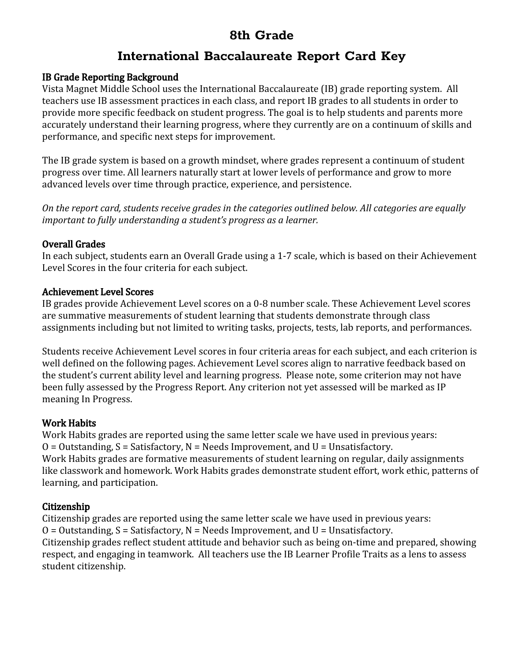## **International Baccalaureate Report Card Key**

### IB Grade Reporting Background

Vista Magnet Middle School uses the International Baccalaureate (IB) grade reporting system. All teachers use IB assessment practices in each class, and report IB grades to all students in order to provide more specific feedback on student progress. The goal is to help students and parents more accurately understand their learning progress, where they currently are on a continuum of skills and performance, and specific next steps for improvement.

The IB grade system is based on a growth mindset, where grades represent a continuum of student progress over time. All learners naturally start at lower levels of performance and grow to more advanced levels over time through practice, experience, and persistence.

*On the report card, students receive grades in the categories outlined below. All categories are equally important to fully understanding a student's progress as a learner.*

### Overall Grades

In each subject, students earn an Overall Grade using a 1-7 scale, which is based on their Achievement Level Scores in the four criteria for each subject.

### Achievement Level Scores

IB grades provide Achievement Level scores on a 0-8 number scale. These Achievement Level scores are summative measurements of student learning that students demonstrate through class assignments including but not limited to writing tasks, projects, tests, lab reports, and performances.

Students receive Achievement Level scores in four criteria areas for each subject, and each criterion is well defined on the following pages. Achievement Level scores align to narrative feedback based on the student's current ability level and learning progress. Please note, some criterion may not have been fully assessed by the Progress Report. Any criterion not yet assessed will be marked as IP meaning In Progress.

### Work Habits

Work Habits grades are reported using the same letter scale we have used in previous years:  $O = 0$ utstanding,  $S = S$ atisfactory,  $N = Needs$  Improvement, and  $U = Unsatisfactory$ . Work Habits grades are formative measurements of student learning on regular, daily assignments like classwork and homework. Work Habits grades demonstrate student effort, work ethic, patterns of learning, and participation.

### Citizenship

Citizenship grades are reported using the same letter scale we have used in previous years:  $O = 0$ utstanding,  $S = S$ atisfactory,  $N = Needs$  Improvement, and  $U = Unsatisfactory$ . Citizenship grades reflect student attitude and behavior such as being on-time and prepared, showing respect, and engaging in teamwork. All teachers use the IB Learner Profile Traits as a lens to assess student citizenship.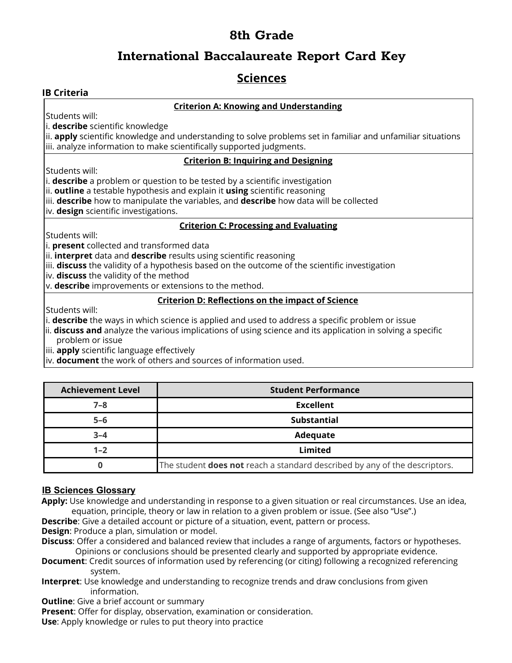### **International Baccalaureate Report Card Key**

### **Sciences**

#### **IB Criteria**

#### **Criterion A: Knowing and Understanding**

Students will:

i. **describe** scientific knowledge

ii. **apply** scientific knowledge and understanding to solve problems set in familiar and unfamiliar situations iii. analyze information to make scientifically supported judgments.

#### **Criterion B: Inquiring and Designing**

Students will:

i. **describe** a problem or question to be tested by a scientific investigation

ii. **outline** a testable hypothesis and explain it **using** scientific reasoning

iii. **describe** how to manipulate the variables, and **describe** how data will be collected

iv. **design** scientific investigations.

#### **Criterion C: Processing and Evaluating**

Students will:

i. **present** collected and transformed data

ii. **interpret** data and **describe** results using scientific reasoning

iii. **discuss** the validity of a hypothesis based on the outcome of the scientific investigation

iv. **discuss** the validity of the method

v. **describe** improvements or extensions to the method.

#### **Criterion D: Reflections on the impact of Science**

Students will:

i. **describe** the ways in which science is applied and used to address a specific problem or issue

ii. **discuss and** analyze the various implications of using science and its application in solving a specific problem or issue

iii. **apply** scientific language effectively

iv. **document** the work of others and sources of information used.

| <b>Achievement Level</b> | <b>Student Performance</b>                                                        |
|--------------------------|-----------------------------------------------------------------------------------|
| $7 - 8$                  | <b>Excellent</b>                                                                  |
| $5 - 6$                  | <b>Substantial</b>                                                                |
| $3 - 4$                  | Adequate                                                                          |
| $1 - 2$                  | Limited                                                                           |
|                          | The student <b>does not</b> reach a standard described by any of the descriptors. |

#### **IB Sciences Glossary**

**Apply:** Use knowledge and understanding in response to a given situation or real circumstances. Use an idea, equation, principle, theory or law in relation to a given problem or issue. (See also "Use".)

**Describe**: Give a detailed account or picture of a situation, event, pattern or process.

**Design**: Produce a plan, simulation or model.

**Discuss**: Offer a considered and balanced review that includes a range of arguments, factors or hypotheses. Opinions or conclusions should be presented clearly and supported by appropriate evidence.

- **Document**: Credit sources of information used by referencing (or citing) following a recognized referencing system.
- **Interpret**: Use knowledge and understanding to recognize trends and draw conclusions from given information.

**Outline:** Give a brief account or summary

**Present**: Offer for display, observation, examination or consideration.

**Use**: Apply knowledge or rules to put theory into practice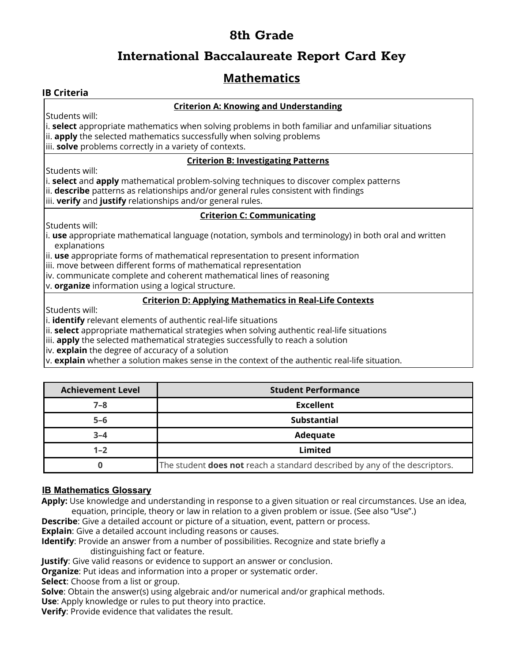## **International Baccalaureate Report Card Key**

## **Mathematics**

#### **IB Criteria**

#### **Criterion A: Knowing and Understanding**

Students will:

i. **select** appropriate mathematics when solving problems in both familiar and unfamiliar situations ii. **apply** the selected mathematics successfully when solving problems iii. **solve** problems correctly in a variety of contexts.

#### **Criterion B: Investigating Patterns**

Students will:

i. **select** and **apply** mathematical problem-solving techniques to discover complex patterns ii. **describe** patterns as relationships and/or general rules consistent with findings iii. **verify** and **justify** relationships and/or general rules.

#### **Criterion C: Communicating**

Students will:

i. **use** appropriate mathematical language (notation, symbols and terminology) in both oral and written explanations

ii. **use** appropriate forms of mathematical representation to present information

iii. move between different forms of mathematical representation

iv. communicate complete and coherent mathematical lines of reasoning

v. **organize** information using a logical structure.

#### **Criterion D: Applying Mathematics in Real-Life Contexts**

Students will:

i. **identify** relevant elements of authentic real-life situations

ii. **select** appropriate mathematical strategies when solving authentic real-life situations

iii. **apply** the selected mathematical strategies successfully to reach a solution

iv. **explain** the degree of accuracy of a solution

v. **explain** whether a solution makes sense in the context of the authentic real-life situation.

| <b>Achievement Level</b> | <b>Student Performance</b>                                                        |
|--------------------------|-----------------------------------------------------------------------------------|
| $7 - 8$                  | <b>Excellent</b>                                                                  |
| $5 - 6$                  | <b>Substantial</b>                                                                |
| $3 - 4$                  | Adequate                                                                          |
| $1 - 2$                  | Limited                                                                           |
|                          | The student <b>does not</b> reach a standard described by any of the descriptors. |

#### **IB Mathematics Glossary**

**Apply:** Use knowledge and understanding in response to a given situation or real circumstances. Use an idea, equation, principle, theory or law in relation to a given problem or issue. (See also "Use".)

**Describe**: Give a detailed account or picture of a situation, event, pattern or process.

**Explain**: Give a detailed account including reasons or causes.

**Identify**: Provide an answer from a number of possibilities. Recognize and state briefly a distinguishing fact or feature.

**Justify**: Give valid reasons or evidence to support an answer or conclusion.

**Organize**: Put ideas and information into a proper or systematic order.

**Select**: Choose from a list or group.

**Solve**: Obtain the answer(s) using algebraic and/or numerical and/or graphical methods. **Use**: Apply knowledge or rules to put theory into practice.

**Verify**: Provide evidence that validates the result.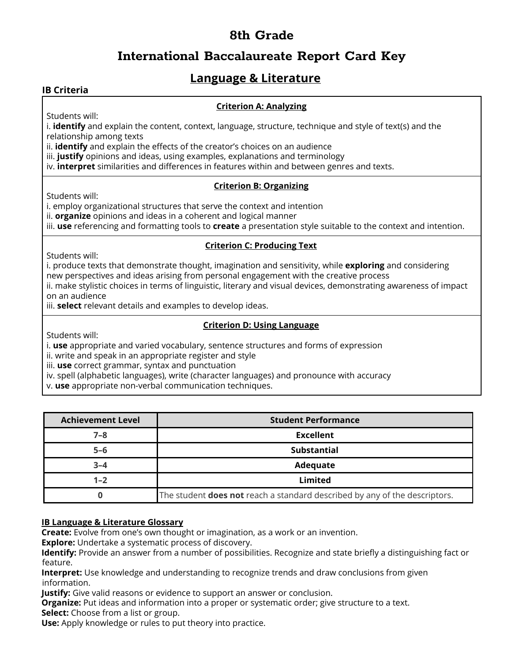## **International Baccalaureate Report Card Key**

### **Language & Literature**

#### **IB Criteria**

#### **Criterion A: Analyzing**

Students will:

i. **identify** and explain the content, context, language, structure, technique and style of text(s) and the relationship among texts

ii. **identify** and explain the effects of the creator's choices on an audience

iii. **justify** opinions and ideas, using examples, explanations and terminology

iv. **interpret** similarities and differences in features within and between genres and texts.

#### **Criterion B: Organizing**

Students will:

i. employ organizational structures that serve the context and intention

ii. **organize** opinions and ideas in a coherent and logical manner

iii. **use** referencing and formatting tools to **create** a presentation style suitable to the context and intention.

#### **Criterion C: Producing Text**

Students will:

i. produce texts that demonstrate thought, imagination and sensitivity, while **exploring** and considering new perspectives and ideas arising from personal engagement with the creative process

ii. make stylistic choices in terms of linguistic, literary and visual devices, demonstrating awareness of impact on an audience

iii. **select** relevant details and examples to develop ideas.

#### **Criterion D: Using Language**

Students will:

i. **use** appropriate and varied vocabulary, sentence structures and forms of expression

ii. write and speak in an appropriate register and style

iii. **use** correct grammar, syntax and punctuation

iv. spell (alphabetic languages), write (character languages) and pronounce with accuracy

v. **use** appropriate non-verbal communication techniques.

| <b>Achievement Level</b> | <b>Student Performance</b>                                                        |
|--------------------------|-----------------------------------------------------------------------------------|
| $7 - 8$                  | <b>Excellent</b>                                                                  |
| $5 - 6$                  | <b>Substantial</b>                                                                |
| $3 - 4$                  | Adequate                                                                          |
| $1 - 2$                  | Limited                                                                           |
|                          | The student <b>does not</b> reach a standard described by any of the descriptors. |

#### **IB Language & Literature Glossary**

**Create:** Evolve from one's own thought or imagination, as a work or an invention.

**Explore:** Undertake a systematic process of discovery.

**Identify:** Provide an answer from a number of possibilities. Recognize and state briefly a distinguishing fact or feature.

**Interpret:** Use knowledge and understanding to recognize trends and draw conclusions from given information.

**Justify:** Give valid reasons or evidence to support an answer or conclusion.

**Organize:** Put ideas and information into a proper or systematic order; give structure to a text.

**Select:** Choose from a list or group.

**Use:** Apply knowledge or rules to put theory into practice.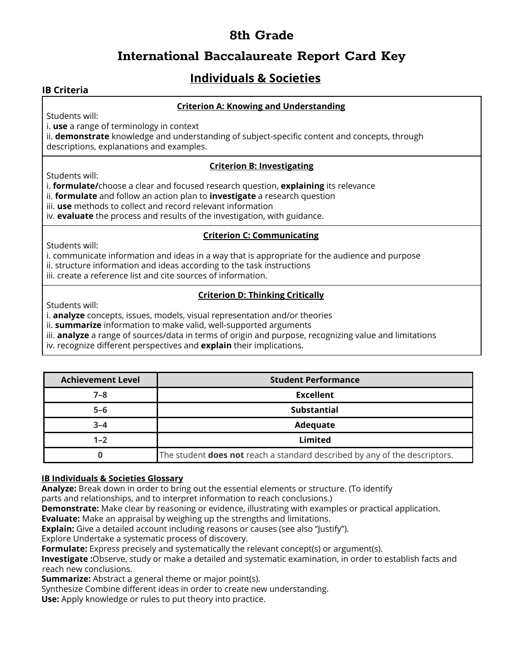### **International Baccalaureate Report Card Key**

## **Individuals & Societies**

#### **IB Criteria**

#### **Criterion A: Knowing and Understanding**

Students will:

i. **use** a range of terminology in context

ii. **demonstrate** knowledge and understanding of subject-specific content and concepts, through descriptions, explanations and examples.

#### **Criterion B: Investigating**

Students will:

i. **formulate/**choose a clear and focused research question, **explaining** its relevance

- ii. **formulate** and follow an action plan to **investigate** a research question
- iii. **use** methods to collect and record relevant information

iv. **evaluate** the process and results of the investigation, with guidance.

#### **Criterion C: Communicating**

Students will:

i. communicate information and ideas in a way that is appropriate for the audience and purpose

- ii. structure information and ideas according to the task instructions
- iii. create a reference list and cite sources of information.

### **Criterion D: Thinking Critically**

Students will:

i. **analyze** concepts, issues, models, visual representation and/or theories

ii. **summarize** information to make valid, well-supported arguments

iii. **analyze** a range of sources/data in terms of origin and purpose, recognizing value and limitations

iv. recognize different perspectives and **explain** their implications.

| <b>Achievement Level</b> | <b>Student Performance</b>                                                        |
|--------------------------|-----------------------------------------------------------------------------------|
| $7 - 8$                  | <b>Excellent</b>                                                                  |
| $5 - 6$                  | Substantial                                                                       |
| $3 - 4$                  | Adequate                                                                          |
| $1 - 2$                  | Limited                                                                           |
|                          | The student <b>does not</b> reach a standard described by any of the descriptors. |

#### **IB Individuals & Societies Glossary**

**Analyze:** Break down in order to bring out the essential elements or structure. (To identify

parts and relationships, and to interpret information to reach conclusions.)

**Demonstrate:** Make clear by reasoning or evidence, illustrating with examples or practical application.

**Evaluate:** Make an appraisal by weighing up the strengths and limitations.

**Explain:** Give a detailed account including reasons or causes (see also "Justify").

Explore Undertake a systematic process of discovery.

**Formulate:** Express precisely and systematically the relevant concept(s) or argument(s).

**Investigate :**Observe, study or make a detailed and systematic examination, in order to establish facts and reach new conclusions.

**Summarize:** Abstract a general theme or major point(s).

Synthesize Combine different ideas in order to create new understanding.

**Use:** Apply knowledge or rules to put theory into practice.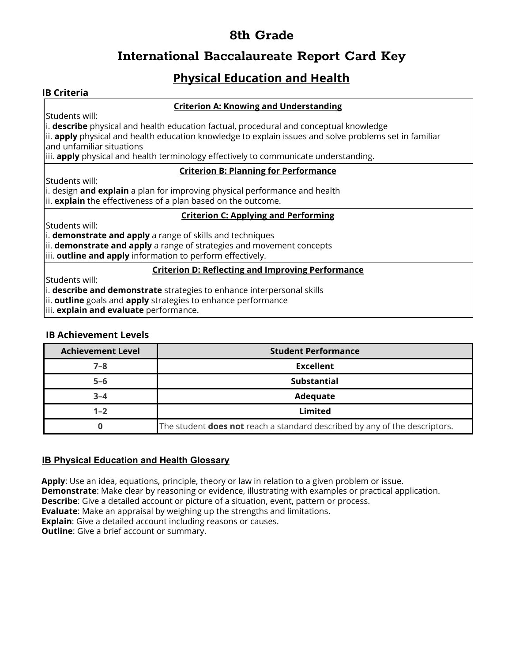## **International Baccalaureate Report Card Key**

## **Physical Education and Health**

#### **IB Criteria**

#### **Criterion A: Knowing and Understanding**

Students will:

i. **describe** physical and health education factual, procedural and conceptual knowledge

ii. **apply** physical and health education knowledge to explain issues and solve problems set in familiar and unfamiliar situations

iii. **apply** physical and health terminology effectively to communicate understanding.

#### **Criterion B: Planning for Performance**

Students will:

i. design **and explain** a plan for improving physical performance and health ii. **explain** the effectiveness of a plan based on the outcome.

#### **Criterion C: Applying and Performing**

Students will:

i. **demonstrate and apply** a range of skills and techniques

ii. **demonstrate and apply** a range of strategies and movement concepts

iii. **outline and apply** information to perform effectively.

#### **Criterion D: Reflecting and Improving Performance**

Students will:

i. **describe and demonstrate** strategies to enhance interpersonal skills

ii. **outline** goals and **apply** strategies to enhance performance

iii. **explain and evaluate** performance.

#### **IB Achievement Levels**

| <b>Achievement Level</b> | <b>Student Performance</b>                                                        |
|--------------------------|-----------------------------------------------------------------------------------|
| $7 - 8$                  | <b>Excellent</b>                                                                  |
| $5-6$                    | <b>Substantial</b>                                                                |
| $3 - 4$                  | Adequate                                                                          |
| $1 - 2$                  | Limited                                                                           |
|                          | The student <b>does not</b> reach a standard described by any of the descriptors. |

#### **IB Physical Education and Health Glossary**

**Apply**: Use an idea, equations, principle, theory or law in relation to a given problem or issue. **Demonstrate**: Make clear by reasoning or evidence, illustrating with examples or practical application. **Describe**: Give a detailed account or picture of a situation, event, pattern or process. **Evaluate**: Make an appraisal by weighing up the strengths and limitations. **Explain**: Give a detailed account including reasons or causes. **Outline:** Give a brief account or summary.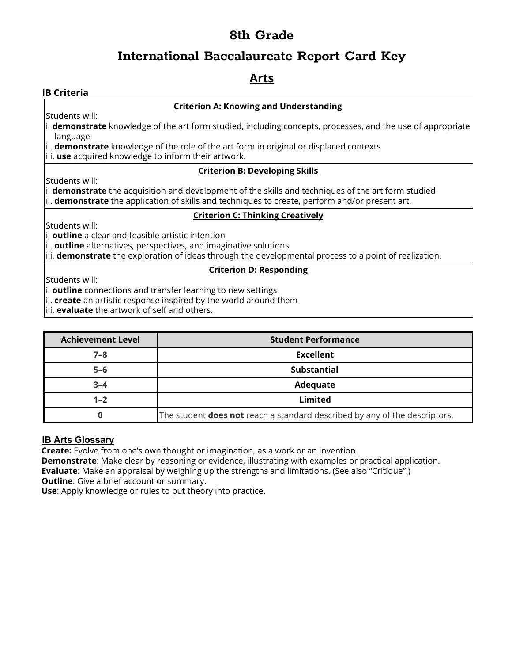### **International Baccalaureate Report Card Key**

### **Arts**

#### **IB Criteria**

#### **Criterion A: Knowing and Understanding**

Students will:

i. **demonstrate** knowledge of the art form studied, including concepts, processes, and the use of appropriate language

ii. **demonstrate** knowledge of the role of the art form in original or displaced contexts

iii. **use** acquired knowledge to inform their artwork.

#### **Criterion B: Developing Skills**

Students will:

i. **demonstrate** the acquisition and development of the skills and techniques of the art form studied ii. **demonstrate** the application of skills and techniques to create, perform and/or present art.

#### **Criterion C: Thinking Creatively**

Students will:

i. **outline** a clear and feasible artistic intention

ii. **outline** alternatives, perspectives, and imaginative solutions

iii. **demonstrate** the exploration of ideas through the developmental process to a point of realization.

#### **Criterion D: Responding**

Students will:

i. **outline** connections and transfer learning to new settings

ii. **create** an artistic response inspired by the world around them

iii. **evaluate** the artwork of self and others.

| <b>Achievement Level</b> | <b>Student Performance</b>                                                 |
|--------------------------|----------------------------------------------------------------------------|
| $7 - 8$                  | <b>Excellent</b>                                                           |
| $5 - 6$                  | <b>Substantial</b>                                                         |
| $3 - 4$                  | Adequate                                                                   |
| $1 - 2$                  | Limited                                                                    |
|                          | The student does not reach a standard described by any of the descriptors. |

#### **IB Arts Glossary**

**Create:** Evolve from one's own thought or imagination, as a work or an invention.

**Demonstrate**: Make clear by reasoning or evidence, illustrating with examples or practical application. **Evaluate**: Make an appraisal by weighing up the strengths and limitations. (See also "Critique".) **Outline:** Give a brief account or summary.

**Use**: Apply knowledge or rules to put theory into practice.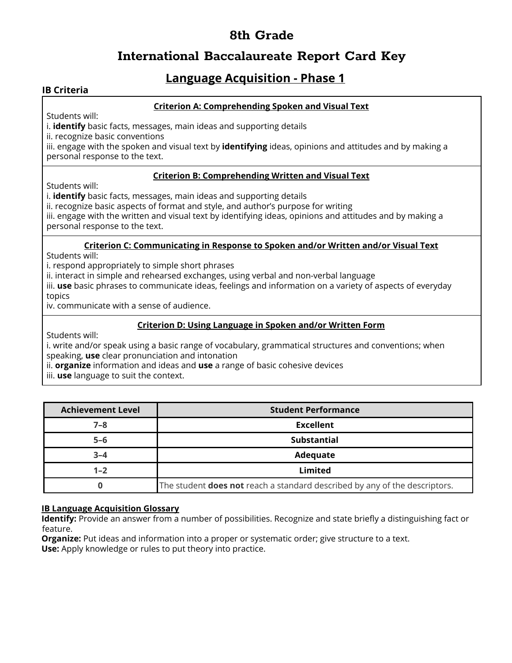### **International Baccalaureate Report Card Key**

### **Language Acquisition - Phase 1**

#### **IB Criteria**

#### **Criterion A: Comprehending Spoken and Visual Text**

Students will:

i. **identify** basic facts, messages, main ideas and supporting details

ii. recognize basic conventions

iii. engage with the spoken and visual text by **identifying** ideas, opinions and attitudes and by making a personal response to the text.

#### **Criterion B: Comprehending Written and Visual Text**

Students will:

i. **identify** basic facts, messages, main ideas and supporting details

ii. recognize basic aspects of format and style, and author's purpose for writing

iii. engage with the written and visual text by identifying ideas, opinions and attitudes and by making a personal response to the text.

#### **Criterion C: Communicating in Response to Spoken and/or Written and/or Visual Text**

Students will:

i. respond appropriately to simple short phrases

ii. interact in simple and rehearsed exchanges, using verbal and non-verbal language

iii. **use** basic phrases to communicate ideas, feelings and information on a variety of aspects of everyday topics

iv. communicate with a sense of audience.

#### **Criterion D: Using Language in Spoken and/or Written Form**

Students will:

i. write and/or speak using a basic range of vocabulary, grammatical structures and conventions; when speaking, **use** clear pronunciation and intonation

ii. **organize** information and ideas and **use** a range of basic cohesive devices

iii. **use** language to suit the context.

| <b>Achievement Level</b> | <b>Student Performance</b>                                                        |
|--------------------------|-----------------------------------------------------------------------------------|
| $7 - 8$                  | <b>Excellent</b>                                                                  |
| $5 - 6$                  | <b>Substantial</b>                                                                |
| $3 - 4$                  | Adequate                                                                          |
| $1 - 2$                  | Limited                                                                           |
|                          | The student <b>does not</b> reach a standard described by any of the descriptors. |

#### **IB Language Acquisition Glossary**

**Identify:** Provide an answer from a number of possibilities. Recognize and state briefly a distinguishing fact or feature.

**Organize:** Put ideas and information into a proper or systematic order; give structure to a text. **Use:** Apply knowledge or rules to put theory into practice.